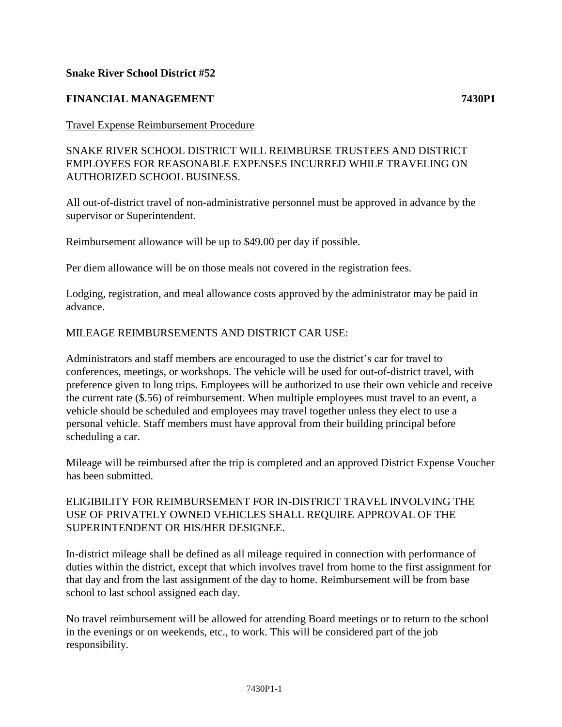## **Snake River School District #52**

# **FINANCIAL MANAGEMENT 7430P1**

### Travel Expense Reimbursement Procedure

SNAKE RIVER SCHOOL DISTRICT WILL REIMBURSE TRUSTEES AND DISTRICT EMPLOYEES FOR REASONABLE EXPENSES INCURRED WHILE TRAVELING ON AUTHORIZED SCHOOL BUSINESS.

All out-of-district travel of non-administrative personnel must be approved in advance by the supervisor or Superintendent.

Reimbursement allowance will be up to \$49.00 per day if possible.

Per diem allowance will be on those meals not covered in the registration fees.

Lodging, registration, and meal allowance costs approved by the administrator may be paid in advance.

### MILEAGE REIMBURSEMENTS AND DISTRICT CAR USE:

Administrators and staff members are encouraged to use the district's car for travel to conferences, meetings, or workshops. The vehicle will be used for out-of-district travel, with preference given to long trips. Employees will be authorized to use their own vehicle and receive the current rate (\$.56) of reimbursement. When multiple employees must travel to an event, a vehicle should be scheduled and employees may travel together unless they elect to use a personal vehicle. Staff members must have approval from their building principal before scheduling a car.

Mileage will be reimbursed after the trip is completed and an approved District Expense Voucher has been submitted.

# ELIGIBILITY FOR REIMBURSEMENT FOR IN-DISTRICT TRAVEL INVOLVING THE USE OF PRIVATELY OWNED VEHICLES SHALL REQUIRE APPROVAL OF THE SUPERINTENDENT OR HIS/HER DESIGNEE.

In-district mileage shall be defined as all mileage required in connection with performance of duties within the district, except that which involves travel from home to the first assignment for that day and from the last assignment of the day to home. Reimbursement will be from base school to last school assigned each day.

No travel reimbursement will be allowed for attending Board meetings or to return to the school in the evenings or on weekends, etc., to work. This will be considered part of the job responsibility.